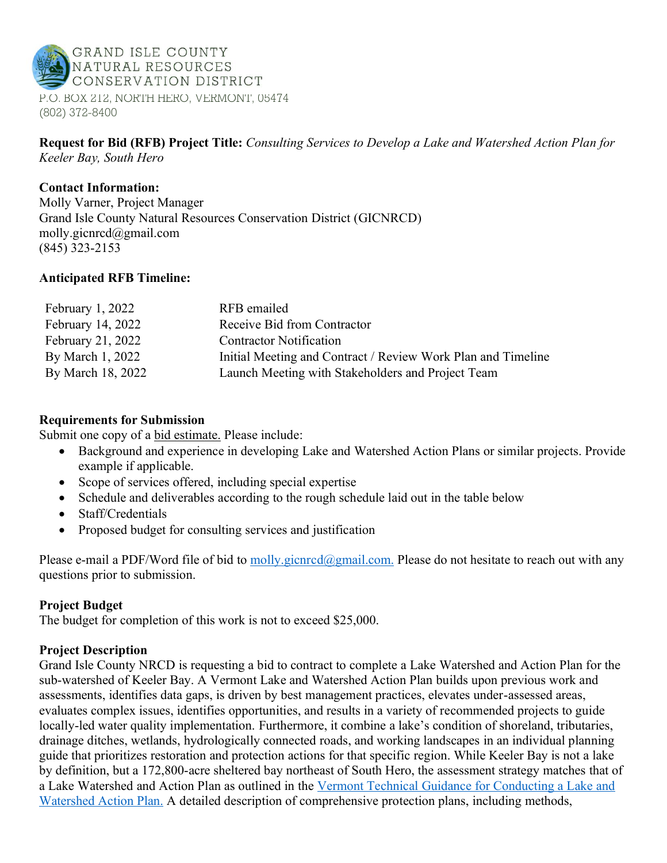

#### **Request for Bid (RFB) Project Title:** *Consulting Services to Develop a Lake and Watershed Action Plan for Keeler Bay, South Hero*

#### **Contact Information:**

Molly Varner, Project Manager Grand Isle County Natural Resources Conservation District (GICNRCD) molly.gicnrcd@gmail.com (845) 323-2153

#### **Anticipated RFB Timeline:**

| February $1, 2022$  | RFB emailed                                                  |
|---------------------|--------------------------------------------------------------|
| February 14, 2022   | Receive Bid from Contractor                                  |
| February 21, $2022$ | <b>Contractor Notification</b>                               |
| By March 1, 2022    | Initial Meeting and Contract / Review Work Plan and Timeline |
| By March 18, 2022   | Launch Meeting with Stakeholders and Project Team            |

#### **Requirements for Submission**

Submit one copy of a bid estimate. Please include:

- Background and experience in developing Lake and Watershed Action Plans or similar projects. Provide example if applicable.
- Scope of services offered, including special expertise
- Schedule and deliverables according to the rough schedule laid out in the table below
- Staff/Credentials
- Proposed budget for consulting services and justification

Please e-mail a PDF/Word file of bid to molly giorned@gmail.com. Please do not hesitate to reach out with any questions prior to submission.

## **Project Budget**

The budget for completion of this work is not to exceed \$25,000.

## **Project Description**

Grand Isle County NRCD is requesting a bid to contract to complete a Lake Watershed and Action Plan for the sub-watershed of Keeler Bay. A Vermont Lake and Watershed Action Plan builds upon previous work and assessments, identifies data gaps, is driven by best management practices, elevates under-assessed areas, evaluates complex issues, identifies opportunities, and results in a variety of recommended projects to guide locally-led water quality implementation. Furthermore, it combine a lake's condition of shoreland, tributaries, drainage ditches, wetlands, hydrologically connected roads, and working landscapes in an individual planning guide that prioritizes restoration and protection actions for that specific region. While Keeler Bay is not a lake by definition, but a 172,800-acre sheltered bay northeast of South Hero, the assessment strategy matches that of a Lake Watershed and Action Plan as outlined in the [Vermont Technical Guidance for Conducting a Lake and](https://dec.vermont.gov/sites/dec/files/wsm/lakes/Lakewise/docs/VTDEC%20LWAP%20Technical%20Guidelines_July_2021_FINAL.pdf)  [Watershed Action Plan.](https://dec.vermont.gov/sites/dec/files/wsm/lakes/Lakewise/docs/VTDEC%20LWAP%20Technical%20Guidelines_July_2021_FINAL.pdf) A detailed description of comprehensive protection plans, including methods,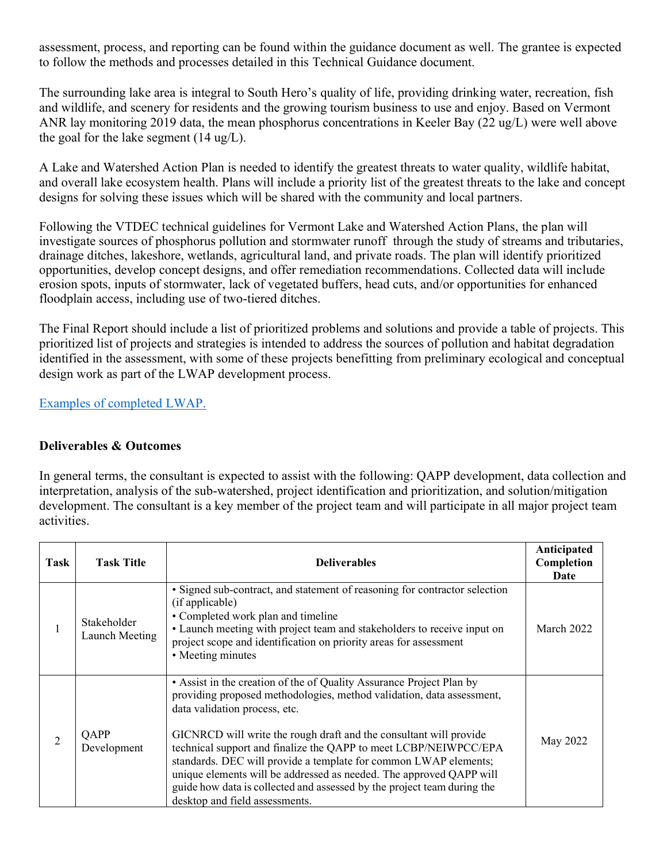assessment, process, and reporting can be found within the guidance document as well. The grantee is expected to follow the methods and processes detailed in this Technical Guidance document.

The surrounding lake area is integral to South Hero's quality of life, providing drinking water, recreation, fish and wildlife, and scenery for residents and the growing tourism business to use and enjoy. Based on Vermont ANR lay monitoring 2019 data, the mean phosphorus concentrations in Keeler Bay (22 ug/L) were well above the goal for the lake segment (14 ug/L).

A Lake and Watershed Action Plan is needed to identify the greatest threats to water quality, wildlife habitat, and overall lake ecosystem health. Plans will include a priority list of the greatest threats to the lake and concept designs for solving these issues which will be shared with the community and local partners.

Following the VTDEC technical guidelines for Vermont Lake and Watershed Action Plans, the plan will investigate sources of phosphorus pollution and stormwater runoff through the study of streams and tributaries, drainage ditches, lakeshore, wetlands, agricultural land, and private roads. The plan will identify prioritized opportunities, develop concept designs, and offer remediation recommendations. Collected data will include erosion spots, inputs of stormwater, lack of vegetated buffers, head cuts, and/or opportunities for enhanced floodplain access, including use of two-tiered ditches.

The Final Report should include a list of prioritized problems and solutions and provide a table of projects. This prioritized list of projects and strategies is intended to address the sources of pollution and habitat degradation identified in the assessment, with some of these projects benefitting from preliminary ecological and conceptual design work as part of the LWAP development process.

[Examples of completed LWAP.](https://dec.vermont.gov/watershed/lakes-ponds/lakeshores-lake-wise/resources)

## **Deliverables & Outcomes**

In general terms, the consultant is expected to assist with the following: QAPP development, data collection and interpretation, analysis of the sub-watershed, project identification and prioritization, and solution/mitigation development. The consultant is a key member of the project team and will participate in all major project team activities.

| Task | <b>Task Title</b>             | <b>Deliverables</b>                                                                                                                                                                                                                                                                                                                                                                                                                                                                                                                                                              | Anticipated<br>Completion<br>Date |
|------|-------------------------------|----------------------------------------------------------------------------------------------------------------------------------------------------------------------------------------------------------------------------------------------------------------------------------------------------------------------------------------------------------------------------------------------------------------------------------------------------------------------------------------------------------------------------------------------------------------------------------|-----------------------------------|
|      | Stakeholder<br>Launch Meeting | • Signed sub-contract, and statement of reasoning for contractor selection<br>(if applicable)<br>• Completed work plan and timeline<br>• Launch meeting with project team and stakeholders to receive input on<br>project scope and identification on priority areas for assessment<br>• Meeting minutes                                                                                                                                                                                                                                                                         | March 2022                        |
| 2    | <b>OAPP</b><br>Development    | • Assist in the creation of the of Quality Assurance Project Plan by<br>providing proposed methodologies, method validation, data assessment,<br>data validation process, etc.<br>GICNRCD will write the rough draft and the consultant will provide<br>technical support and finalize the QAPP to meet LCBP/NEIWPCC/EPA<br>standards. DEC will provide a template for common LWAP elements;<br>unique elements will be addressed as needed. The approved QAPP will<br>guide how data is collected and assessed by the project team during the<br>desktop and field assessments. | May 2022                          |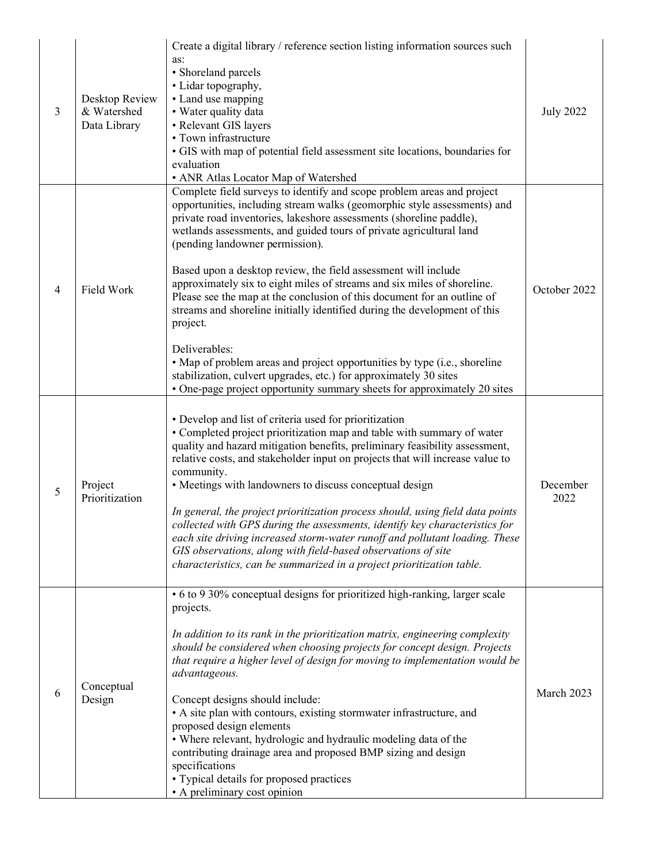| 3 | Desktop Review<br>& Watershed<br>Data Library | Create a digital library / reference section listing information sources such<br>as:<br>• Shoreland parcels<br>• Lidar topography,<br>• Land use mapping<br>• Water quality data<br>• Relevant GIS layers<br>• Town infrastructure<br>· GIS with map of potential field assessment site locations, boundaries for<br>evaluation<br>• ANR Atlas Locator Map of Watershed                                                                                                                                                                                                                                                                                                                                                                                                                                                                                                                             | <b>July 2022</b> |
|---|-----------------------------------------------|-----------------------------------------------------------------------------------------------------------------------------------------------------------------------------------------------------------------------------------------------------------------------------------------------------------------------------------------------------------------------------------------------------------------------------------------------------------------------------------------------------------------------------------------------------------------------------------------------------------------------------------------------------------------------------------------------------------------------------------------------------------------------------------------------------------------------------------------------------------------------------------------------------|------------------|
| 4 | <b>Field Work</b>                             | Complete field surveys to identify and scope problem areas and project<br>opportunities, including stream walks (geomorphic style assessments) and<br>private road inventories, lakeshore assessments (shoreline paddle),<br>wetlands assessments, and guided tours of private agricultural land<br>(pending landowner permission).<br>Based upon a desktop review, the field assessment will include<br>approximately six to eight miles of streams and six miles of shoreline.<br>Please see the map at the conclusion of this document for an outline of<br>streams and shoreline initially identified during the development of this<br>project.<br>Deliverables:<br>• Map of problem areas and project opportunities by type (i.e., shoreline<br>stabilization, culvert upgrades, etc.) for approximately 30 sites<br>• One-page project opportunity summary sheets for approximately 20 sites | October 2022     |
| 5 | Project<br>Prioritization                     | • Develop and list of criteria used for prioritization<br>• Completed project prioritization map and table with summary of water<br>quality and hazard mitigation benefits, preliminary feasibility assessment,<br>relative costs, and stakeholder input on projects that will increase value to<br>community.<br>• Meetings with landowners to discuss conceptual design<br>In general, the project prioritization process should, using field data points<br>collected with GPS during the assessments, identify key characteristics for<br>each site driving increased storm-water runoff and pollutant loading. These<br>GIS observations, along with field-based observations of site<br>characteristics, can be summarized in a project prioritization table.                                                                                                                                 | December<br>2022 |
| 6 | Conceptual<br>Design                          | • 6 to 9 30% conceptual designs for prioritized high-ranking, larger scale<br>projects.<br>In addition to its rank in the prioritization matrix, engineering complexity<br>should be considered when choosing projects for concept design. Projects<br>that require a higher level of design for moving to implementation would be<br>advantageous.<br>Concept designs should include:<br>• A site plan with contours, existing stormwater infrastructure, and<br>proposed design elements<br>• Where relevant, hydrologic and hydraulic modeling data of the<br>contributing drainage area and proposed BMP sizing and design<br>specifications<br>• Typical details for proposed practices<br>• A preliminary cost opinion                                                                                                                                                                        | March 2023       |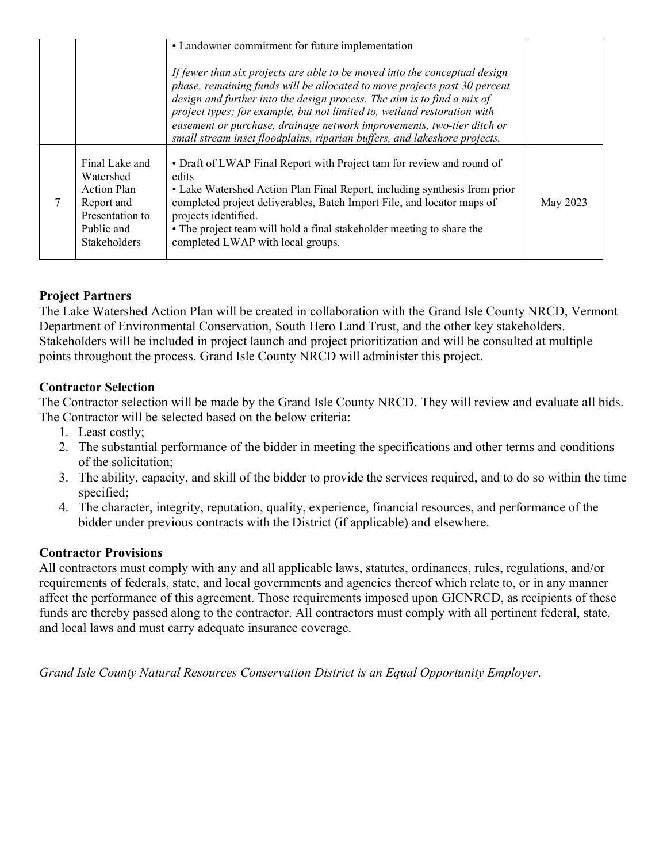|   |                                                                                                                  | • Landowner commitment for future implementation                                                                                                                                                                                                                                                                                                                                                                                                                      |          |
|---|------------------------------------------------------------------------------------------------------------------|-----------------------------------------------------------------------------------------------------------------------------------------------------------------------------------------------------------------------------------------------------------------------------------------------------------------------------------------------------------------------------------------------------------------------------------------------------------------------|----------|
|   |                                                                                                                  | If fewer than six projects are able to be moved into the conceptual design<br>phase, remaining funds will be allocated to move projects past 30 percent<br>design and further into the design process. The aim is to find a mix of<br>project types; for example, but not limited to, wetland restoration with<br>easement or purchase, drainage network improvements, two-tier ditch or<br>small stream inset floodplains, riparian buffers, and lakeshore projects. |          |
| 7 | Final Lake and<br>Watershed<br><b>Action Plan</b><br>Report and<br>Presentation to<br>Public and<br>Stakeholders | • Draft of LWAP Final Report with Project tam for review and round of<br>edits<br>• Lake Watershed Action Plan Final Report, including synthesis from prior<br>completed project deliverables, Batch Import File, and locator maps of<br>projects identified.<br>• The project team will hold a final stakeholder meeting to share the<br>completed LWAP with local groups.                                                                                           | May 2023 |

# **Project Partners**

The Lake Watershed Action Plan will be created in collaboration with the Grand Isle County NRCD, Vermont Department of Environmental Conservation, South Hero Land Trust, and the other key stakeholders. Stakeholders will be included in project launch and project prioritization and will be consulted at multiple points throughout the process. Grand Isle County NRCD will administer this project.

## **Contractor Selection**

The Contractor selection will be made by the Grand Isle County NRCD. They will review and evaluate all bids. The Contractor will be selected based on the below criteria:

- 1. Least costly;
- 2. The substantial performance of the bidder in meeting the specifications and other terms and conditions of the solicitation;
- 3. The ability, capacity, and skill of the bidder to provide the services required, and to do so within the time specified;
- 4. The character, integrity, reputation, quality, experience, financial resources, and performance of the bidder under previous contracts with the District (if applicable) and elsewhere.

## **Contractor Provisions**

All contractors must comply with any and all applicable laws, statutes, ordinances, rules, regulations, and/or requirements of federals, state, and local governments and agencies thereof which relate to, or in any manner affect the performance of this agreement. Those requirements imposed upon GICNRCD, as recipients of these funds are thereby passed along to the contractor. All contractors must comply with all pertinent federal, state, and local laws and must carry adequate insurance coverage.

*Grand Isle County Natural Resources Conservation District is an Equal Opportunity Employer.*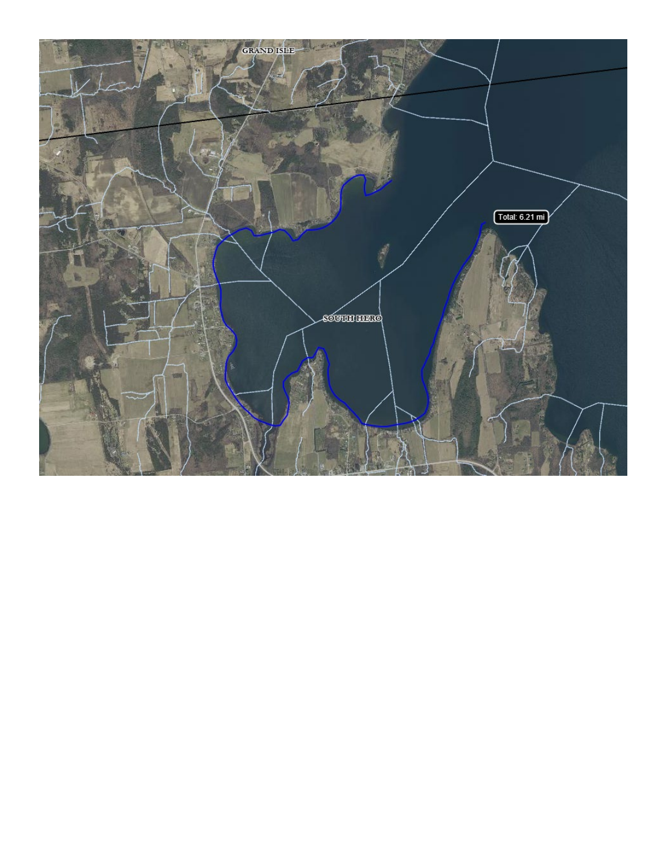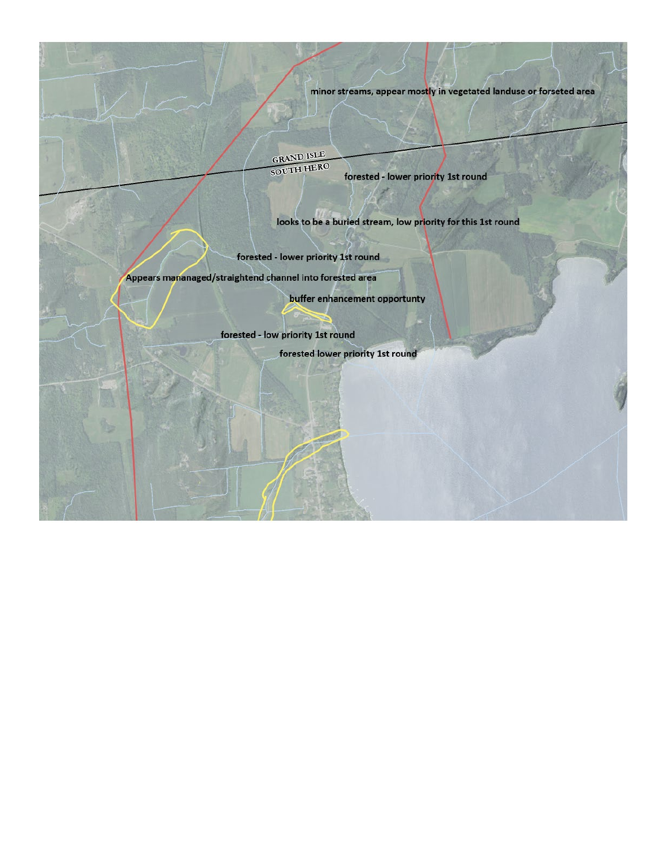minor streams, appear mostly in vegetated landuse or forseted area

GRAND ISLE<br>SOUTH HERO

forested - lower priority 1st round

looks to be a buried stream, low priority for this 1st round

forested - lower priority 1st round Appears mananaged/straightend channel into forested area

buffer enhancement opportunty

forested - low priority 1st round

forested lower priority 1st round